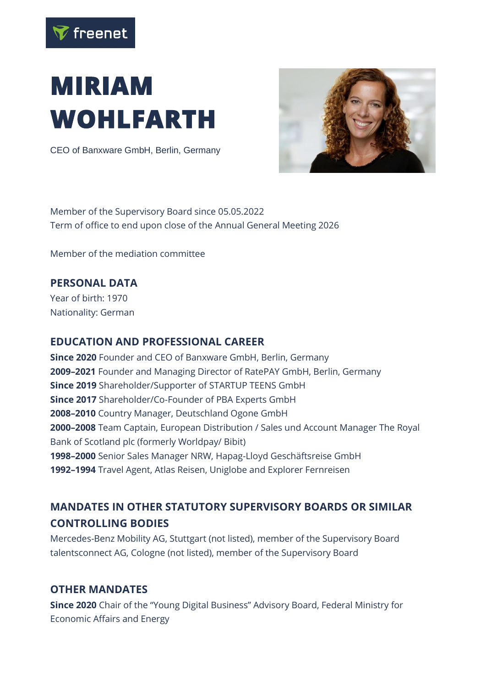

# **MIRIAM WOHLFARTH**

CEO of Banxware GmbH, Berlin, Germany



Member of the Supervisory Board since 05.05.2022 Term of office to end upon close of the Annual General Meeting 2026

Member of the mediation committee

### **PERSONAL DATA**

Year of birth: 1970 Nationality: German

#### **EDUCATION AND PROFESSIONAL CAREER**

**Since 2020** Founder and CEO of Banxware GmbH, Berlin, Germany **2009–2021** Founder and Managing Director of RatePAY GmbH, Berlin, Germany **Since 2019** Shareholder/Supporter of STARTUP TEENS GmbH **Since 2017** Shareholder/Co-Founder of PBA Experts GmbH **2008–2010** Country Manager, Deutschland Ogone GmbH **2000–2008** Team Captain, European Distribution / Sales und Account Manager The Royal Bank of Scotland plc (formerly Worldpay/ Bibit) **1998–2000** Senior Sales Manager NRW, Hapag-Lloyd Geschäftsreise GmbH **1992–1994** Travel Agent, Atlas Reisen, Uniglobe and Explorer Fernreisen

## **MANDATES IN OTHER STATUTORY SUPERVISORY BOARDS OR SIMILAR CONTROLLING BODIES**

Mercedes-Benz Mobility AG, Stuttgart (not listed), member of the Supervisory Board talentsconnect AG, Cologne (not listed), member of the Supervisory Board

#### **OTHER MANDATES**

**Since 2020** Chair of the "Young Digital Business" Advisory Board, Federal Ministry for Economic Affairs and Energy